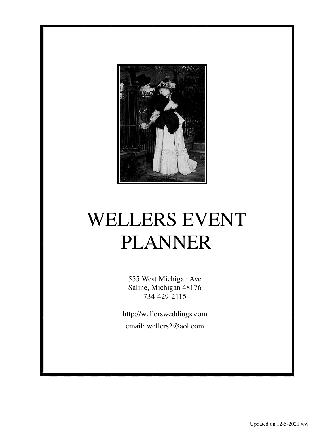

# WELLERS EVENT PLANNER

555 West Michigan Ave Saline, Michigan 48176 734-429-2115

http://wellersweddings.com email: wellers2@aol.com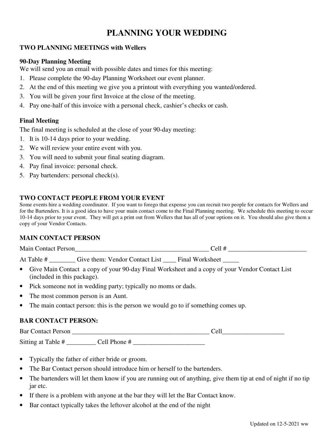# **PLANNING YOUR WEDDING**

# **TWO PLANNING MEETINGS with Wellers**

# **90-Day Planning Meeting**

We will send you an email with possible dates and times for this meeting:

- 1. Please complete the 90-day Planning Worksheet our event planner.
- 2. At the end of this meeting we give you a printout with everything you wanted/ordered.
- 3. You will be given your first Invoice at the close of the meeting.
- 4. Pay one-half of this invoice with a personal check, cashier's checks or cash.

# **Final Meeting**

The final meeting is scheduled at the close of your 90-day meeting:

- 1. It is 10-14 days prior to your wedding.
- 2. We will review your entire event with you.
- 3. You will need to submit your final seating diagram.
- 4. Pay final invoice: personal check.
- 5. Pay bartenders: personal check(s).

# **TWO CONTACT PEOPLE FROM YOUR EVENT**

Some events hire a wedding coordinator. If you want to forego that expense you can recruit two people for contacts for Wellers and for the Bartenders. It is a good idea to have your main contact come to the Final Planning meeting. We schedule this meeting to occur 10-14 days prior to your event. They will get a print out from Wellers that has all of your options on it. You should also give them a copy of your Vendor Contacts.

# **MAIN CONTACT PERSON**

| M<br>211 | _______ | _____ |
|----------|---------|-------|
|          |         |       |

At Table # \_\_\_\_\_\_\_\_\_ Give them: Vendor Contact List \_\_\_\_ Final Worksheet \_\_\_\_\_

- Give Main Contact a copy of your 90-day Final Worksheet and a copy of your Vendor Contact List (included in this package).
- Pick someone not in wedding party; typically no moms or dads.
- The most common person is an Aunt.
- The main contact person: this is the person we would go to if something comes up.

# **BAR CONTACT PERSON:**

Bar Contact Person \_\_\_\_\_\_\_\_\_\_\_\_\_\_\_\_\_\_\_\_\_\_\_\_\_\_\_\_\_\_\_\_\_\_\_\_\_\_\_\_\_\_ Cell\_\_\_\_\_\_\_\_\_\_\_\_\_\_\_\_\_\_\_

Sitting at Table # \_\_\_\_\_\_\_\_\_ Cell Phone # \_\_\_\_\_\_\_\_\_\_\_\_\_\_\_\_\_\_\_\_\_\_

- Typically the father of either bride or groom.
- The Bar Contact person should introduce him or herself to the bartenders.
- The bartenders will let them know if you are running out of anything, give them tip at end of night if no tip jar etc.
- If there is a problem with anyone at the bar they will let the Bar Contact know.
- Bar contact typically takes the leftover alcohol at the end of the night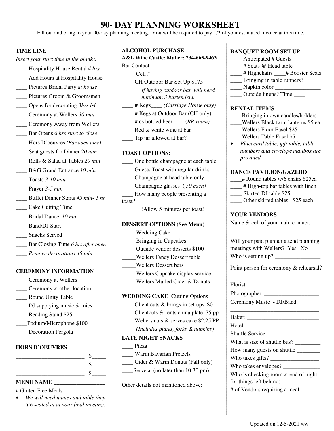# **90- DAY PLANNING WORKSHEET**

Fill out and bring to your 90-day planning meeting. You will be required to pay 1/2 of your estimated invoice at this time.

### **TIME LINE**

- *Insert your start time in the blanks.*
- \_\_\_\_ Hospitality House Rental *4 hrs*
- \_\_\_\_ Add Hours at Hospitality House \_\_\_\_ Pictures Bridal Party *at house*
- Pictures Groom & Groomsmen
- \_\_\_\_ Opens for decorating *3hrs b4*
- \_\_\_\_ Ceremony at Wellers *30 min*
- \_\_\_\_ Ceremony Away from Wellers
- \_\_\_\_ Bar Opens 6 *hrs start to close*
- \_\_\_\_ Hors D'oeuvres *(Bar open time)*
- \_\_\_\_ Seat guests for Dinner *20 min*
- \_\_\_\_ Rolls & Salad at Tables *20 min*
- \_\_\_\_ B&G Grand Entrance *10 min*
- \_\_\_\_ Toasts *3-10 min*
- \_\_\_\_ Prayer *3-5 min*
- \_\_\_\_ Buffet Dinner Starts *45 min- 1 hr*
- \_\_\_\_ Cake Cutting Time
- \_\_\_\_ Bridal Dance *10 min*
- \_\_\_\_ Band/DJ Start
- Snacks Served
- \_\_\_\_ Bar Closing Time *6 hrs after open*
- \_\_\_\_ *Remove decorations 45 min*

#### **CEREMONY INFORMATION**

- \_\_\_\_ Ceremony at Wellers
- \_\_\_\_ Ceremony at other location
- \_\_\_\_ Round Unity Table
- DJ supplying music  $\&$  mics
- \_\_\_\_ Reading Stand \$25
- \_\_\_\_Podium/Microphone \$100
- \_\_\_\_ Decoration Pergola

### **HORS D'OEUVRES**

\_\_\_\_\_\_\_\_\_\_\_\_\_\_\_\_\_\_\_\_\_\_\_\_ \$\_\_\_\_\_ \_\_\_\_\_\_\_\_\_\_\_\_\_\_\_\_\_\_\_\_\_\_\_\_ \$\_\_\_\_\_  $\sim$  \$

# **MENU NAME \_\_\_\_\_\_\_\_\_\_\_\_\_\_\_\_\_\_**

- # Gluten Free Meals
- *We will need names and table they* are *seated at at your final meeting.*

# **ALCOHOL PURCHASE**

# **A&L Wine Castle: Maher: 734-665-9463**

- Bar Contact
- $Cell \#$ \_\_\_\_ CH Outdoor Bar Set Up \$175 *If having outdoor bar will need minimum 3 bartenders.*
- \_\_\_\_ # Kegs\_\_\_\_ *(Carriage House only)*
- \_\_\_\_ # Kegs at Outdoor Bar (CH only)
- \_\_\_\_ # cs bottled beer \_\_\_\_(*RR room)*
- **EXECU & White wine at bar**
- \_\_\_\_ Tip jar allowed at bar?

#### **TOAST OPTIONS:**

- \_\_\_\_ One bottle champagne at each table
- \_\_\_\_ Guests Toast with regular drinks
- \_\_\_\_ Champagne at head table only

\_\_\_\_ Champagne glasses (*.50 each)*

\_\_\_\_ How many people presenting a toast?

(Allow 5 minutes per toast)

#### **DESSERT OPTIONS (See Menu)**

- \_\_\_\_\_Wedding Cake
- \_\_\_\_\_Bringing in Cupcakes
- \_\_\_\_ Outside vendor desserts \$100
- \_\_\_\_\_Wellers Fancy Dessert table
- \_\_\_\_\_Wellers Dessert bars
- \_\_\_\_\_Wellers Cupcake display service
- \_\_\_\_\_Wellers Mulled Cider & Donuts

#### **WEDDING CAKE** Cutting Options

- \_\_\_\_ Client cuts & brings in set ups \$0
- \_\_\_\_ Clientcuts & rents china plate .75 pp
- \_\_\_\_ Wellers cuts & serves cake \$2.25 PP  *(Includes plates, forks & napkins)*

#### **LATE NIGHT SNACKS**

- \_\_\_\_ Pizza
- \_\_\_\_ Warm Bavarian Pretzels
- \_\_\_\_ Cider & Warm Donuts (Fall only)
- Serve at (no later than 10:30 pm)

Other details not mentioned above:

#### **BANQUET ROOM SET UP**

- \_\_\_\_ Anticipated # Guests
- $\frac{1}{\sqrt{1-\frac{1}{\sqrt{1-\frac{1}{\sqrt{1-\frac{1}{\sqrt{1-\frac{1}{\sqrt{1-\frac{1}{\sqrt{1-\frac{1}{\sqrt{1-\frac{1}{\sqrt{1-\frac{1}{\sqrt{1-\frac{1}{\sqrt{1-\frac{1}{\sqrt{1-\frac{1}{\sqrt{1-\frac{1}{\sqrt{1-\frac{1}{\sqrt{1-\frac{1}{\sqrt{1-\frac{1}{\sqrt{1-\frac{1}{\sqrt{1-\frac{1}{\sqrt{1-\frac{1}{\sqrt{1-\frac{1}{\sqrt{1-\frac{1}{\sqrt{1-\frac{1}{\sqrt{1-\frac{1}{\sqrt{1-\frac{1}{\sqrt{1-\frac{1$
- \_\_\_\_ # Highchairs \_\_\_\_# Booster Seats
- \_\_\_\_ Bringing in table runners?
- $\frac{1}{\sqrt{2\pi}}$  Napkin color  $\frac{1}{\sqrt{2\pi}}$
- \_\_\_\_ Outside linens? Time \_\_\_\_

#### **RENTAL ITEMS**

- \_\_\_\_Bringing in own candles/holders
- \_\_\_\_Wellers Black farm lanterns \$5 ea
- \_\_\_\_Wellers Floor Easel \$25
- \_\_\_\_Wellers Table Easel \$5
- *Placecard table, gift table, table numbers and envelope mailbox are provided*

#### **DANCE PAVILION/GAZEBO**

- \_\_\_\_# Round tables w/6 chairs \$25ea
- \_\_\_\_ # High-top bar tables with linen
- Skirted DJ table \$25
- Other skirted tables \$25 each

### **YOUR VENDORS**

Name & cell of your main contact:

| Will your paid planner attend planning |  |
|----------------------------------------|--|
| meetings with Wellers? Yes No          |  |
| Who is setting up?                     |  |

\_\_\_\_\_\_\_\_\_\_\_\_\_\_\_\_\_\_\_\_\_\_\_\_\_\_\_\_\_\_\_

Point person for ceremony & rehearsal? \_\_\_\_\_\_\_\_\_\_\_\_\_\_\_\_\_\_\_\_\_\_\_\_\_\_\_\_\_\_\_

 $\_$ 

Florist: \_\_\_\_\_\_\_\_\_\_\_\_\_\_\_\_\_\_\_\_\_\_\_\_\_

Photographer: \_\_\_\_\_\_\_\_\_\_\_\_\_\_\_\_\_\_\_

Ceremony Music - DJ/Band:

Baker: Hotel: \_\_\_\_\_\_\_\_\_\_\_\_\_\_\_\_\_\_\_\_\_\_\_\_\_\_ Shuttle Service\_\_\_\_\_\_\_\_\_\_\_\_\_\_\_\_\_\_\_ What is size of shuttle bus? \_\_\_\_\_\_\_\_\_ How many guests on shuttle \_\_\_\_\_\_\_\_ Who takes gifts? \_\_\_\_\_\_\_\_\_\_\_\_\_\_\_\_\_ Who takes envelopes? \_\_\_\_\_\_\_\_\_\_\_\_\_ Who is checking room at end of night for things left behind: # of Vendors requiring a meal \_\_\_\_\_\_\_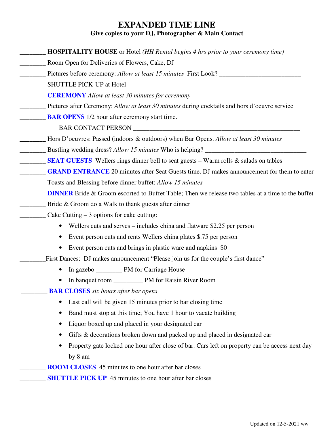# **EXPANDED TIME LINE Give copies to your DJ, Photographer & Main Contact**

| <b>HOSPITALITY HOUSE</b> or Hotel (HH Rental begins 4 hrs prior to your ceremony time)                      |
|-------------------------------------------------------------------------------------------------------------|
| Room Open for Deliveries of Flowers, Cake, DJ                                                               |
| Pictures before ceremony: Allow at least 15 minutes First Look? ________________                            |
| <b>SHUTTLE PICK-UP at Hotel</b>                                                                             |
| <b>CEREMONY</b> Allow at least 30 minutes for ceremony                                                      |
| Pictures after Ceremony: Allow at least 30 minutes during cocktails and hors d'oeuvre service               |
| <b>BAR OPENS</b> 1/2 hour after ceremony start time.                                                        |
|                                                                                                             |
| Hors D'oeuvres: Passed (indoors & outdoors) when Bar Opens. Allow at least 30 minutes                       |
| Bustling wedding dress? Allow 15 minutes Who is helping? ________________________                           |
| <b>SEAT GUESTS</b> Wellers rings dinner bell to seat guests – Warm rolls & salads on tables                 |
| <b>GRAND ENTRANCE</b> 20 minutes after Seat Guests time. DJ makes announcement for them to enter            |
| Toasts and Blessing before dinner buffet: Allow 15 minutes                                                  |
| <b>DINNER</b> Bride & Groom escorted to Buffet Table; Then we release two tables at a time to the buffet    |
| Bride & Groom do a Walk to thank guests after dinner                                                        |
| Cake Cutting $-3$ options for cake cutting:                                                                 |
| Wellers cuts and serves – includes china and flatware \$2.25 per person<br>$\bullet$                        |
| Event person cuts and rents Wellers china plates \$.75 per person<br>$\bullet$                              |
| Event person cuts and brings in plastic ware and napkins \$0<br>٠                                           |
| First Dances: DJ makes announcement "Please join us for the couple's first dance"                           |
| $\bullet$                                                                                                   |
|                                                                                                             |
| <b>BAR CLOSES</b> six hours after bar opens                                                                 |
| Last call will be given 15 minutes prior to bar closing time<br>$\bullet$                                   |
| Band must stop at this time; You have 1 hour to vacate building<br>$\bullet$                                |
| Liquor boxed up and placed in your designated car<br>$\bullet$                                              |
| Gifts & decorations broken down and packed up and placed in designated car<br>٠                             |
| Property gate locked one hour after close of bar. Cars left on property can be access next day<br>$\bullet$ |
| by 8 am                                                                                                     |
| <b>ROOM CLOSES</b> 45 minutes to one hour after bar closes                                                  |
| <b>SHUTTLE PICK UP</b> 45 minutes to one hour after bar closes                                              |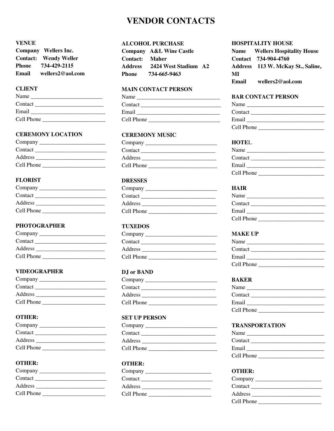# **VENDOR CONTACTS**

# **VENUE**

|                 | Company Wellers Inc. |
|-----------------|----------------------|
| <b>Contact:</b> | <b>Wendy Weller</b>  |
| Phone           | 734-429-2115         |
| Email           | wellers2@aol.com     |

### **CLIENT**

| Name       |  |
|------------|--|
| Contact    |  |
| Email      |  |
| Cell Phone |  |

#### **CEREMONY LOCATION**

| Company $\overline{\phantom{a}}$ |  |
|----------------------------------|--|
| Contact                          |  |
| Address                          |  |
| Cell Phone                       |  |

# **FLORIST**

| Company    | Com    |
|------------|--------|
| Contact    | Cont   |
| Address    | Addr   |
| Cell Phone | Cell 1 |

#### **PHOTOGRAPHER**

| Contact    |  |
|------------|--|
| Address    |  |
| Cell Phone |  |

#### **VIDEOGRAPHER**

| Company $\_\$ |  |
|---------------|--|
| Contact       |  |
| Address       |  |
| Cell Phone    |  |

# **OTHER:**

| Company    |  |
|------------|--|
| Contact    |  |
| Address    |  |
| Cell Phone |  |

# **OTHER:**

| Company $\overline{\phantom{a}}$ |  |
|----------------------------------|--|
| Contact                          |  |
| Address                          |  |
| Cell Phone                       |  |

### **ALCOHOL PURCHASE**

|                       | Company A&L Wine Castle |  |
|-----------------------|-------------------------|--|
| <b>Contact: Maher</b> |                         |  |
| Address               | 2424 West Stadium A2    |  |
| Phone                 | 734-665-9463            |  |

#### **MAIN CONTACT PERSON**

| Name       |  |
|------------|--|
| Contact    |  |
| Email      |  |
| Cell Phone |  |

# **CEREMONY MUSIC**

| Company $\overline{\phantom{a}}$ |  |  |
|----------------------------------|--|--|
| Contact                          |  |  |
| Address                          |  |  |
| Cell Phone                       |  |  |
|                                  |  |  |

# **DRESSES**

| Company    |  |
|------------|--|
| Contact    |  |
| Address    |  |
| Cell Phone |  |
|            |  |

# **TUXEDOS**

| Company    |  |
|------------|--|
| Contact    |  |
| Address    |  |
| Cell Phone |  |

#### **DJ or BAND**

| Company    |  |
|------------|--|
| Contact    |  |
| Address    |  |
| Cell Phone |  |
|            |  |

# **SET UP PERSON**

| Company $\overline{\phantom{a}}$ |  |
|----------------------------------|--|
| Contact                          |  |
| Address                          |  |
| Cell Phone                       |  |

### **OTHER:**

| Company    |  |
|------------|--|
| Contact    |  |
| Address    |  |
| Cell Phone |  |

#### **HOSPITALITY HOUSE**

|       | <b>Name</b> Wellers Hospitality House |
|-------|---------------------------------------|
|       | Contact 734-904-4760                  |
|       | Address 113 W. McKay St., Saline,     |
| MI    |                                       |
| Email | wellers2@aol.com                      |

#### **BAR CONTACT PERSON**

| Name       |  |
|------------|--|
| Contact    |  |
| Email      |  |
| Cell Phone |  |

#### **HOTE**L

| Name       |  |
|------------|--|
| Contact    |  |
| Email      |  |
| Cell Phone |  |

# **HAIR**

| Name       |  |
|------------|--|
| Contact    |  |
| Email      |  |
| Cell Phone |  |

### **MAKE UP**

| Name       |  |
|------------|--|
| Contact    |  |
| Email      |  |
| Cell Phone |  |

#### **BAKER**

| Name       |  |
|------------|--|
| Contact    |  |
| Email      |  |
| Cell Phone |  |

#### **TRANSPORTATION**

| Name       |  |
|------------|--|
| Contact    |  |
| Email      |  |
| Cell Phone |  |

#### **OTHER:**

| Company $\overline{\phantom{a}}$ |  |
|----------------------------------|--|
| Contact                          |  |
| Address                          |  |
| Cell Phone                       |  |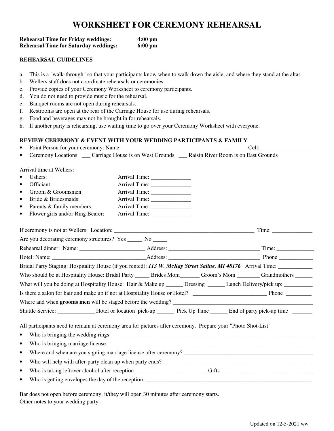# **WORKSHEET FOR CEREMONY REHEARSAL**

| <b>Rehearsal Time for Friday weddings:</b>   | $4:00 \text{ pm}$ |
|----------------------------------------------|-------------------|
| <b>Rehearsal Time for Saturday weddings:</b> | $6:00 \text{ pm}$ |

#### **REHEARSAL GUIDELINES**

- a. This is a "walk-through" so that your participants know when to walk down the aisle, and where they stand at the altar.
- b. Wellers staff does not coordinate rehearsals or ceremonies.
- c. Provide copies of your Ceremony Worksheet to ceremony participants.
- d. You do not need to provide music for the rehearsal.
- e. Banquet rooms are not open during rehearsals.
- f. Restrooms are open at the rear of the Carriage House for use during rehearsals.
- g. Food and beverages may not be brought in for rehearsals.
- h. If another party is rehearsing, use waiting time to go over your Ceremony Worksheet with everyone.

#### **REVIEW CEREMONY & EVENT WITH YOUR WEDDING PARTICIPANTS & FAMILY**

• Point Person for your ceremony: Name: \_\_\_\_\_\_\_\_\_\_\_\_\_\_\_\_\_\_\_\_\_\_\_\_\_\_\_\_\_\_\_\_\_\_\_\_\_\_\_\_\_\_ Cell: \_\_\_\_\_\_\_\_\_\_\_\_\_\_\_\_

|  | • Ceremony Locations: | __ Carriage House is on West Grounds | Raisin River Room is on East Grounds |
|--|-----------------------|--------------------------------------|--------------------------------------|
|--|-----------------------|--------------------------------------|--------------------------------------|

Arrival time at Wellers:

| Ushers:<br>$\bullet$                                                                                         |                                  |                                                                                                                          |
|--------------------------------------------------------------------------------------------------------------|----------------------------------|--------------------------------------------------------------------------------------------------------------------------|
| Officiant:<br>٠                                                                                              |                                  |                                                                                                                          |
| Groom & Groomsmen:<br>٠                                                                                      |                                  |                                                                                                                          |
| Bride & Bridesmaids:<br>$\bullet$                                                                            |                                  |                                                                                                                          |
| Parents & family members:<br>$\bullet$                                                                       |                                  |                                                                                                                          |
| Flower girls and/or Ring Bearer:<br>٠                                                                        |                                  |                                                                                                                          |
|                                                                                                              |                                  |                                                                                                                          |
| Are you decorating ceremony structures? Yes _____ No _____                                                   |                                  |                                                                                                                          |
|                                                                                                              |                                  |                                                                                                                          |
|                                                                                                              |                                  |                                                                                                                          |
|                                                                                                              |                                  | Bridal Party Staging: Hospitality House (if you rented): 113 W. McKay Street Saline, MI 48176 Arrival Time: ____________ |
|                                                                                                              |                                  | Who should be at Hospitality House: Bridal Party ______ Brides Mom_______ Groom's Mom _______ Grandmothers ______        |
|                                                                                                              |                                  | What will you be doing at Hospitality House: Hair & Make up _____ Dressing _____ Lunch Delivery/pick up: ________        |
|                                                                                                              |                                  |                                                                                                                          |
|                                                                                                              |                                  | Where and when <b>grooms men</b> will be staged before the wedding?                                                      |
|                                                                                                              |                                  | Shuttle Service: ________________ Hotel or location pick-up _______ Pick Up Time ______ End of party pick-up time ______ |
| All participants need to remain at ceremony area for pictures after ceremony. Prepare your "Photo Shot-List" |                                  |                                                                                                                          |
| $\bullet$                                                                                                    |                                  |                                                                                                                          |
| $\bullet$                                                                                                    | Who is bringing marriage license |                                                                                                                          |
| $\bullet$                                                                                                    |                                  |                                                                                                                          |
| $\bullet$                                                                                                    |                                  |                                                                                                                          |
| $\bullet$                                                                                                    |                                  |                                                                                                                          |
| $\bullet$                                                                                                    |                                  |                                                                                                                          |
|                                                                                                              |                                  |                                                                                                                          |

Bar does not open before ceremony; it/they will open 30 minutes after ceremony starts. Other notes to your wedding party: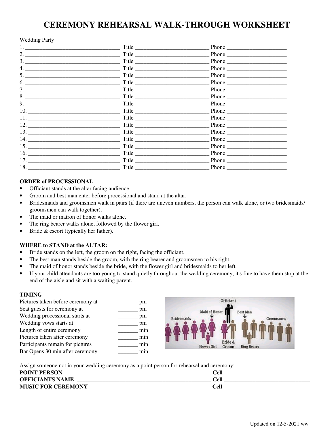# **CEREMONY REHEARSAL WALK-THROUGH WORKSHEET**

#### Wedding Party

| 1. $\qquad \qquad$              | Title                                    | Phone $\qquad$ |  |
|---------------------------------|------------------------------------------|----------------|--|
| 2. $\qquad \qquad$              | Title                                    | Phone          |  |
|                                 | Title                                    |                |  |
|                                 | $\begin{tabular}{c} Title \end{tabular}$ | Phone          |  |
| $5.$ $\qquad \qquad$            | Title                                    | Phone          |  |
| 6.                              | Title                                    | Phone          |  |
| 7.                              | Title                                    | Phone          |  |
| 8.                              | Title                                    | Phone          |  |
| $9. \underline{\hspace{1.5cm}}$ | Title                                    |                |  |
|                                 | Title                                    |                |  |
|                                 | Title                                    | Phone          |  |
|                                 | Title                                    | Phone          |  |
|                                 | Title                                    | Phone          |  |
|                                 | Title                                    | Phone          |  |
|                                 | Title                                    | Phone          |  |
| 16. $\qquad$                    |                                          | Phone          |  |
| 17.                             | Title                                    | Phone          |  |
|                                 | Title                                    |                |  |

#### **ORDER of PROCESSIONAL**

- Officiant stands at the altar facing audience.
- Groom and best man enter before processional and stand at the altar.
- Bridesmaids and groomsmen walk in pairs (if there are uneven numbers, the person can walk alone, or two bridesmaids/ groomsmen can walk together).
- The maid or matron of honor walks alone.
- The ring bearer walks alone, followed by the flower girl.
- Bride & escort (typically her father).

#### **WHERE to STAND at the ALTAR:**

- Bride stands on the left, the groom on the right, facing the officiant.
- The best man stands beside the groom, with the ring bearer and groomsmen to his right.
- The maid of honor stands beside the bride, with the flower girl and bridesmaids to her left.
- If your child attendants are too young to stand quietly throughout the wedding ceremony, it's fine to have them stop at the end of the aisle and sit with a waiting parent.

#### **TIMING**

| Pictures taken before ceremony at | pm  | Officiant                                                    |
|-----------------------------------|-----|--------------------------------------------------------------|
| Seat guests for ceremony at       | pm  | Maid of Honor<br><b>Best Man</b>                             |
| Wedding processional starts at    | pm  | <b>Bridesmaids</b><br>Groomsmen                              |
| Wedding vows starts at            | pm  |                                                              |
| Length of entire ceremony         | min |                                                              |
| Pictures taken after ceremony     | min |                                                              |
| Participants remain for pictures  | min | Bride &<br><b>Flower Girl</b><br><b>Ring Bearer</b><br>Groom |
| Bar Opens 30 min after ceremony   | mın |                                                              |

Assign someone not in your wedding ceremony as a point person for rehearsal and ceremony:

| <b>POINT PERSON</b>       | Cell |
|---------------------------|------|
| <b>OFFICIANTS NAME</b>    | Cell |
| <b>MUSIC FOR CEREMONY</b> | Cell |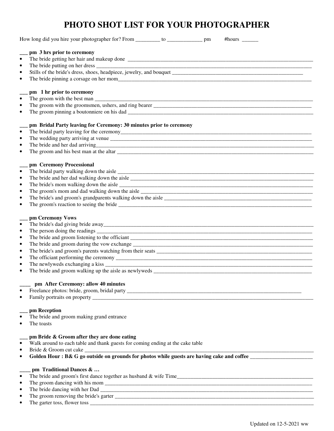# **PHOTO SHOT LIST FOR YOUR PHOTOGRAPHER**

|           | How long did you hire your photographer for? From _________ to __________________ pm<br>#hours $\frac{1}{2}$ |
|-----------|--------------------------------------------------------------------------------------------------------------|
|           | pm 3 hrs prior to ceremony                                                                                   |
|           |                                                                                                              |
| ٠         |                                                                                                              |
|           |                                                                                                              |
|           |                                                                                                              |
|           |                                                                                                              |
|           | pm 1 hr prior to ceremony                                                                                    |
|           |                                                                                                              |
| ٠         |                                                                                                              |
|           |                                                                                                              |
|           |                                                                                                              |
|           | pm Bridal Party leaving for Ceremony: 30 minutes prior to ceremony                                           |
| $\bullet$ |                                                                                                              |
| ٠         |                                                                                                              |
| $\bullet$ |                                                                                                              |
|           |                                                                                                              |
|           |                                                                                                              |
|           | pm Ceremony Processional                                                                                     |
| $\bullet$ |                                                                                                              |
| ٠         |                                                                                                              |
| ٠         |                                                                                                              |
|           |                                                                                                              |
|           |                                                                                                              |
|           |                                                                                                              |
|           |                                                                                                              |
|           | pm Ceremony Vows                                                                                             |
|           |                                                                                                              |
| ٠         |                                                                                                              |
|           |                                                                                                              |
| ٠         |                                                                                                              |
| ٠         |                                                                                                              |
|           |                                                                                                              |
|           | The newlyweds exchanging a kiss                                                                              |
|           |                                                                                                              |
|           |                                                                                                              |
|           | pm After Ceremony: allow 40 minutes                                                                          |
|           |                                                                                                              |
|           |                                                                                                              |
|           |                                                                                                              |
|           | pm Reception                                                                                                 |
|           | The bride and groom making grand entrance                                                                    |
|           | The toasts                                                                                                   |
|           |                                                                                                              |
|           | pm Bride & Groom after they are done eating                                                                  |
| $\bullet$ | Walk around to each table and thank guests for coming ending at the cake table                               |
| ٠         |                                                                                                              |
|           |                                                                                                              |
|           | pm Traditional Dances &                                                                                      |
|           |                                                                                                              |
|           |                                                                                                              |
|           |                                                                                                              |
|           |                                                                                                              |
|           |                                                                                                              |

• The garter toss, flower toss \_\_\_\_\_\_\_\_\_\_\_\_\_\_\_\_\_\_\_\_\_\_\_\_\_\_\_\_\_\_\_\_\_\_\_\_\_\_\_\_\_\_\_\_\_\_\_\_\_\_\_\_\_\_\_\_\_\_\_\_\_\_\_\_\_\_\_\_\_\_\_\_\_\_\_\_\_\_\_\_\_\_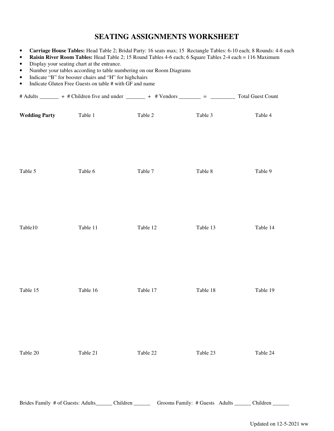# **SEATING ASSIGNMENTS WORKSHEET**

- **Carriage House Tables:** Head Table 2; Bridal Party: 16 seats max; 15 Rectangle Tables: 6-10 each; 8 Rounds: 4-8 each
- **Raisin River Room Tables:** Head Table 2; 15 Round Tables 4-6 each; 6 Square Tables 2-4 each = 116 Maximum
- Display your seating chart at the entrance.
- Number your tables according to table numbering on our Room Diagrams
- Indicate "B" for booster chairs and "H" for highchairs
- Indicate Gluten Free Guests on table # with GF and name

|                      | # Adults _______ + # Children five and under _______ + # Vendors _______ = _________ Total Guest Count       |          |          |          |
|----------------------|--------------------------------------------------------------------------------------------------------------|----------|----------|----------|
| <b>Wedding Party</b> | Table 1                                                                                                      | Table 2  | Table 3  | Table 4  |
| Table 5              | Table 6                                                                                                      | Table 7  | Table 8  | Table 9  |
| Table10              | Table 11                                                                                                     | Table 12 | Table 13 | Table 14 |
| Table 15             | Table 16                                                                                                     | Table 17 | Table 18 | Table 19 |
| Table 20             | Table 21                                                                                                     | Table 22 | Table 23 | Table 24 |
|                      | Brides Family # of Guests: Adults______ Children _______ Grooms Family: # Guests Adults _____ Children _____ |          |          |          |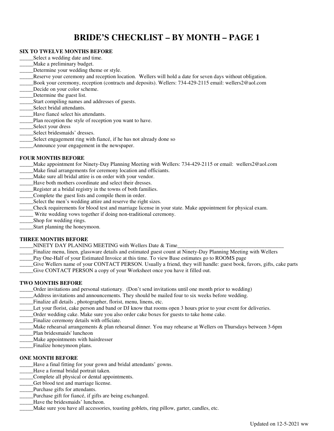# **BRIDE'S CHECKLIST – BY MONTH – PAGE 1**

#### **SIX TO TWELVE MONTHS BEFORE**

- Select a wedding date and time.
- Make a preliminary budget.
- Determine your wedding theme or style.
- \_\_\_\_\_Reserve your ceremony and reception location. Wellers will hold a date for seven days without obligation.
- \_\_\_\_\_Book your ceremony, reception (contracts and deposits). Wellers: 734-429-2115 email: wellers2@aol.com
- Decide on your color scheme.
- \_\_\_\_\_Determine the guest list.
- \_\_\_\_\_Start compiling names and addresses of guests.
- Select bridal attendants.
- Have fiancé select his attendants.
- Plan reception the style of reception you want to have.
- \_\_\_\_\_Select your dress
- Select bridesmaids' dresses.
- Select engagement ring with fiancé, if he has not already done so
- \_\_\_\_\_Announce your engagement in the newspaper.

#### **FOUR MONTHS BEFORE**

- \_\_\_\_\_Make appointment for Ninety-Day Planning Meeting with Wellers: 734-429-2115 or email: wellers2@aol.com
- \_\_\_\_\_Make final arrangements for ceremony location and officiants.
- Make sure all bridal attire is on order with your vendor.
- Have both mothers coordinate and select their dresses.
- Register at a bridal registry in the towns of both families.
- Complete the guest lists and compile them in order.
- Select the men's wedding attire and reserve the right sizes.
- \_\_\_\_\_Check requirements for blood test and marriage license in your state. Make appointment for physical exam.
- Write wedding vows together if doing non-traditional ceremony.
- \_\_\_\_\_Shop for wedding rings.
- Start planning the honeymoon.

#### **THREE MONTHS BEFORE**

- NINETY DAY PLANING MEETING with Wellers Date & Time
- \_\_\_\_\_Finalize menu, linen, glassware details and estimated guest count at Ninety-Day Planning Meeting with Wellers
- \_\_\_\_\_Pay One-Half of your Estimated Invoice at this time. To view Base estimates go to ROOMS page
- Give Wellers name of your CONTACT PERSON. Usually a friend, they will handle: guest book, favors, gifts, cake parts
- \_\_\_\_\_Give CONTACT PERSON a copy of your Worksheet once you have it filled out.

#### **TWO MONTHS BEFORE**

- \_\_\_\_\_Order invitations and personal stationary. (Don't send invitations until one month prior to wedding)
- \_\_\_\_\_Address invitations and announcements. They should be mailed four to six weeks before wedding.
- Finalize all details, photographer, florist, menu, linens, etc.
- \_\_\_\_\_Let your florist, cake person and band or DJ know that rooms open 3 hours prior to your event for deliveries.
- \_\_\_\_\_Order wedding cake. Make sure you also order cake boxes for guests to take home cake.
- Finalize ceremony details with officiate.
- Make rehearsal arrangements & plan rehearsal dinner. You may rehearse at Wellers on Thursdays between 3-6pm
- \_\_\_\_\_Plan bridesmaids' luncheon
- Make appointments with hairdresser
- \_\_\_\_\_Finalize honeymoon plans.

#### **ONE MONTH BEFORE**

- \_\_\_\_\_Have a final fitting for your gown and bridal attendants' gowns.
- Have a formal bridal portrait taken.
- \_\_\_\_\_Complete all physical or dental appointments.
- \_\_\_\_\_Get blood test and marriage license.
- \_\_\_\_\_Purchase gifts for attendants.
- \_\_\_\_\_Purchase gift for fiancé, if gifts are being exchanged.
- Have the bridesmaids' luncheon.
- Make sure you have all accessories, toasting goblets, ring pillow, garter, candles, etc.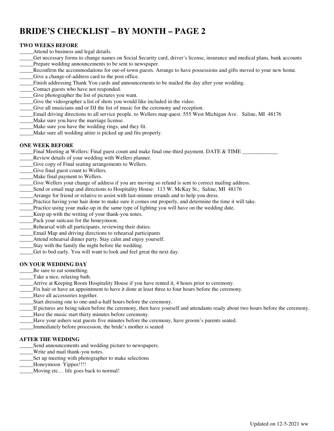# **BRIDE'S CHECKLIST – BY MONTH – PAGE 2**

#### **TWO WEEKS BEFORE**

- Attend to business and legal details.
- \_\_\_\_\_Get necessary forms to change names on Social Security card, driver's license, insurance and medical plans, bank accounts Prepare wedding announcements to be sent to newspaper.
- Reconfirm the accommodations for out-of-town guests. Arrange to have possessions and gifts moved to your new home.
- \_\_\_\_\_Give a change-of-address card to the post office.
- \_\_\_\_\_Finish addressing Thank You cards and announcements to be mailed the day after your wedding.
- \_\_\_\_\_Contact guests who have not responded.
- \_\_\_\_\_Give photographer the list of pictures you want.
- \_\_\_\_\_Give the videographer a list of shots you would like included in the video.
- \_\_\_\_\_Give all musicians and or DJ the list of music for the ceremony and reception.
- \_\_\_\_\_Email driving directions to all service people. to Wellers map quest. 555 West Michigan Ave. Saline, MI 48176
- Make sure you have the marriage license.
- \_\_\_\_\_Make sure you have the wedding rings, and they fit.
- \_\_\_\_\_Make sure all wedding attire is picked up and fits properly.

#### **ONE WEEK BEFORE**

- $\Box$  Final Meeting at Wellers: Final guest count and make final one-third payment. DATE & TIME  $\Box$
- \_\_\_\_\_Review details of your wedding with Wellers planner.
- \_\_\_\_\_Give copy of Final seating arrangements to Wellers.
- \_\_\_\_\_Give final guest count to Wellers.
- Make final payment to Wellers.
- \_\_\_\_\_Give Wellers your change of address if you are moving so refund is sent to correct mailing address.
- Send or email map and directions to Hospitality House: 113 W. McKay St., Saline, MI 48176
- Arrange for friend or relative to assist with last-minute errands and to help you dress.
- \_\_\_\_\_Practice having your hair done to make sure it comes out properly, and determine the time it will take.
- Practice using your make-up in the same type of lighting you will have on the wedding date.
- \_\_\_\_\_Keep up with the writing of your thank-you notes.
- \_\_\_\_\_Pack your suitcase for the honeymoon.
- Rehearsal with all participants, reviewing their duties.
- \_\_\_\_\_Email Map and driving directions to rehearsal participants
- \_\_\_\_\_Attend rehearsal dinner party. Stay calm and enjoy yourself.
- Stay with the family the night before the wedding.
- \_\_\_\_\_Get to bed early. You will want to look and feel great the next day.

#### **ON YOUR WEDDING DAY**

- Be sure to eat something.
- \_\_\_\_\_Take a nice, relaxing bath.
- \_\_\_\_\_Arrive at Keeping Room Hospitality House if you have rented it, 4 hours prior to ceremony.
- \_\_\_\_\_Fix hair or have an appointment to have it done at least three to four hours before the ceremony.
- \_\_\_\_\_Have all accessories together.
- \_\_\_\_\_Start dressing one to one-and-a-half hours before the ceremony.
- \_\_\_\_\_If pictures are being taken before the ceremony, then have yourself and attendants ready about two hours before the ceremony.
- \_\_\_\_\_Have the music start thirty minutes before ceremony.
- \_\_\_\_\_Have your ushers seat guests five minutes before the ceremony, have groom's parents seated.
- \_\_\_\_\_Immediately before procession, the bride's mother is seated

#### **AFTER THE WEDDING**

- \_\_\_\_\_Send announcements and wedding picture to newspapers.
- \_\_\_\_\_Write and mail thank-you notes.
- \_\_\_\_\_Set up meeting with photographer to make selections
- \_\_\_\_\_Honeymoon Yippee!!!!
- Moving etc... life goes back to normal!